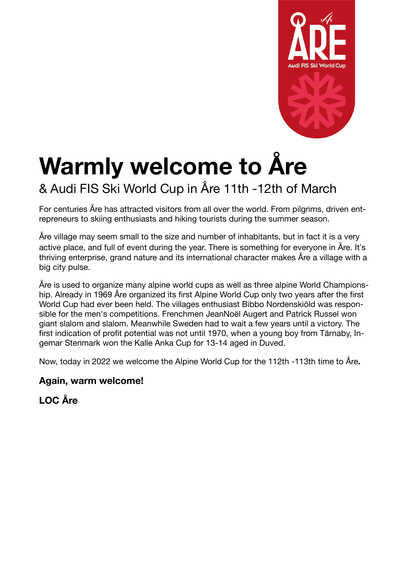

# **Warmly welcome to Åre**

## & Audi FIS Ski World Cup in Åre 11th -12th of March

For centuries Åre has attracted visitors from all over the world. From pilgrims, driven entrepreneurs to skiing enthusiasts and hiking tourists during the summer season.

Åre village may seem small to the size and number of inhabitants, but in fact it is a very active place, and full of event during the year. There is something for everyone in Åre. It's thriving enterprise, grand nature and its international character makes Åre a village with a big city pulse.

Åre is used to organize many alpine world cups as well as three alpine World Championship. Already in 1969 Åre organized its first Alpine World Cup only two years after the first World Cup had ever been held. The villages enthusiast Bibbo Nordenskiöld was responsible for the men's competitions. Frenchmen JeanNoël Augert and Patrick Russel won giant slalom and slalom. Meanwhile Sweden had to wait a few years until a victory. The first indication of profit potential was not until 1970, when a young boy from Tärnaby, Ingemar Stenmark won the Kalle Anka Cup for 13-14 aged in Duved.

Now, today in 2022 we welcome the Alpine World Cup for the 112th -113th time to Åre**.** 

## **Again, warm welcome!**

**LOC Åre**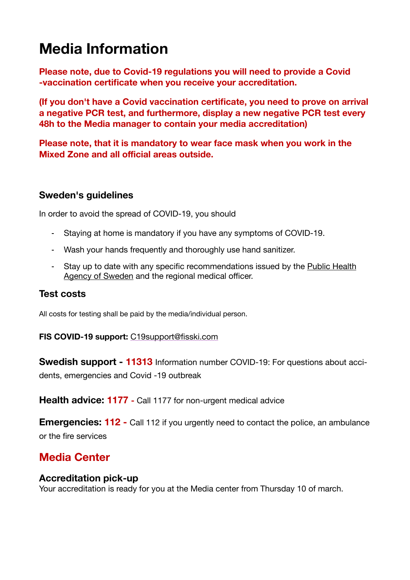## **Media Information**

**Please note, due to Covid-19 regulations you will need to provide a Covid -vaccination certificate when you receive your accreditation.** 

**(If you don't have a Covid vaccination certificate, you need to prove on arrival a negative PCR test, and furthermore, display a new negative PCR test every 48h to the Media manager to contain your media accreditation)** 

**Please note, that it is mandatory to wear face mask when you work in the Mixed Zone and all official areas outside.** 

### **Sweden's guidelines**

In order to avoid the spread of COVID-19, you should

- Staying at home is mandatory if you have any symptoms of COVID-19.
- Wash your hands frequently and thoroughly use hand sanitizer.
- Stay up to date with any specific recommendations issued by the [Public Health](https://www.folkhalsomyndigheten.se/the-public-health-agency-of-sweden/communicable-disease-control/COVID-19/regulations-and-general-guidelines/)  [Agency of Sweden](https://www.folkhalsomyndigheten.se/the-public-health-agency-of-sweden/communicable-disease-control/COVID-19/regulations-and-general-guidelines/) and the regional medical officer.

### **Test costs**

All costs for testing shall be paid by the media/individual person.

#### **FIS COVID-19 support:** [C19support@fisski.com](mailto:C19support@fisski.com)

**Swedish support - 11313** Information number COVID-19: For questions about accidents, emergencies and Covid -19 outbreak

**Health advice: 1177 - Call 1177 for non-urgent medical advice** 

**Emergencies: 112 -** Call 112 if you urgently need to contact the police, an ambulance or the fire services

## **Media Center**

### **Accreditation pick-up**

Your accreditation is ready for you at the Media center from Thursday 10 of march.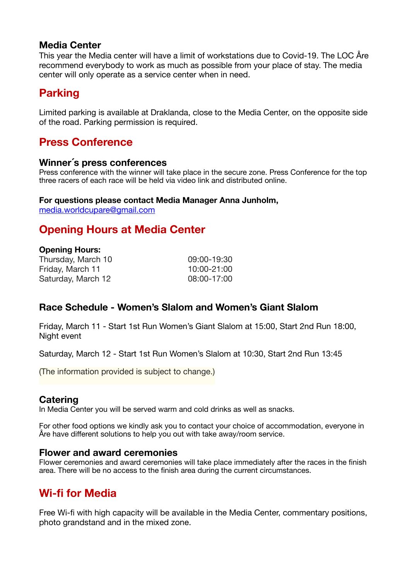#### **Media Center**

This year the Media center will have a limit of workstations due to Covid-19. The LOC Åre recommend everybody to work as much as possible from your place of stay. The media center will only operate as a service center when in need.

## **Parking**

Limited parking is available at Draklanda, close to the Media Center, on the opposite side of the road. Parking permission is required.

## **Press Conference**

#### **Winner´s press conferences**

Press conference with the winner will take place in the secure zone. Press Conference for the top three racers of each race will be held via video link and distributed online.

#### **For questions please contact Media Manager Anna Junholm,**

[media.worldcupare@gmail.com](mailto:media.worldcupare@gmail.com)

## **Opening Hours at Media Center**

#### **Opening Hours:**

| Thursday, March 10 | 09:00-19:30 |
|--------------------|-------------|
| Friday, March 11   | 10:00-21:00 |
| Saturday, March 12 | 08:00-17:00 |

### **Race Schedule - Women's Slalom and Women's Giant Slalom**

Friday, March 11 - Start 1st Run Women's Giant Slalom at 15:00, Start 2nd Run 18:00, Night event

Saturday, March 12 - Start 1st Run Women's Slalom at 10:30, Start 2nd Run 13:45

(The information provided is subject to change.)

#### **Catering**

In Media Center you will be served warm and cold drinks as well as snacks.

For other food options we kindly ask you to contact your choice of accommodation, everyone in Åre have different solutions to help you out with take away/room service.

#### **Flower and award ceremonies**

Flower ceremonies and award ceremonies will take place immediately after the races in the finish area. There will be no access to the finish area during the current circumstances.

## **Wi-fi for Media**

Free Wi-fi with high capacity will be available in the Media Center, commentary positions, photo grandstand and in the mixed zone.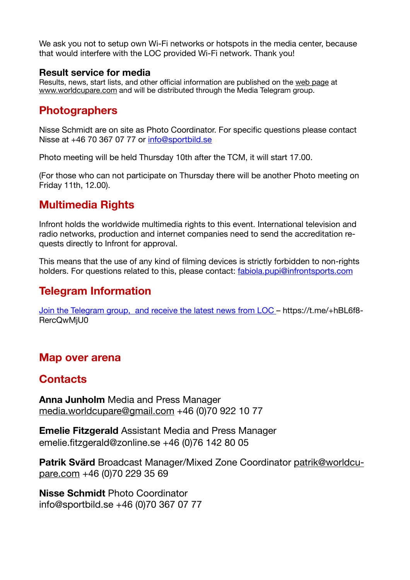We ask you not to setup own Wi-Fi networks or hotspots in the media center, because that would interfere with the LOC provided Wi-Fi network. Thank you!

#### **Result service for media**

Results, news, start lists, and other official information are published on the [web page](http://www.worldcupare.com) at [www.worldcupare.com](http://www.worldcupare.com) and will be distributed through the Media Telegram group.

## **Photographers**

Nisse Schmidt are on site as Photo Coordinator. For specific questions please contact Nisse at +46 70 367 07 77 or [info@sportbild.se](mailto:info@sportbild.se)

Photo meeting will be held Thursday 10th after the TCM, it will start 17.00.

(For those who can not participate on Thursday there will be another Photo meeting on Friday 11th, 12.00).

## **Multimedia Rights**

Infront holds the worldwide multimedia rights to this event. International television and radio networks, production and internet companies need to send the accreditation requests directly to Infront for approval.

This means that the use of any kind of filming devices is strictly forbidden to non-rights holders. For questions related to this, please contact: [fabiola.pupi@infrontsports.com](mailto:fabiola.pupi@infrontsports.com)

## **Telegram Information**

[Join the Telegram group, and receive the latest news from LOC](https://t.me/+hBL6f8RercQwMjU0) – https://t.me/+hBL6f8- RercQwMjU0

## **Map over arena**

## **Contacts**

**Anna Junholm** Media and Press Manager [media.worldcupare@gmail.com](mailto:media.worldcupare@gmail.com) +46 (0)70 922 10 77

**Emelie Fitzgerald** Assistant Media and Press Manager emelie.fitzgerald@zonline.se +46 (0)76 142 80 05

**Patrik Svärd** Broadcast Manager/Mixed Zone Coordinator [patrik@worldcu](mailto:patrik@worldcupare.com)[pare.com](mailto:patrik@worldcupare.com) +46 (0)70 229 35 69

**Nisse Schmidt** Photo Coordinator info@sportbild.se +46 (0)70 367 07 77